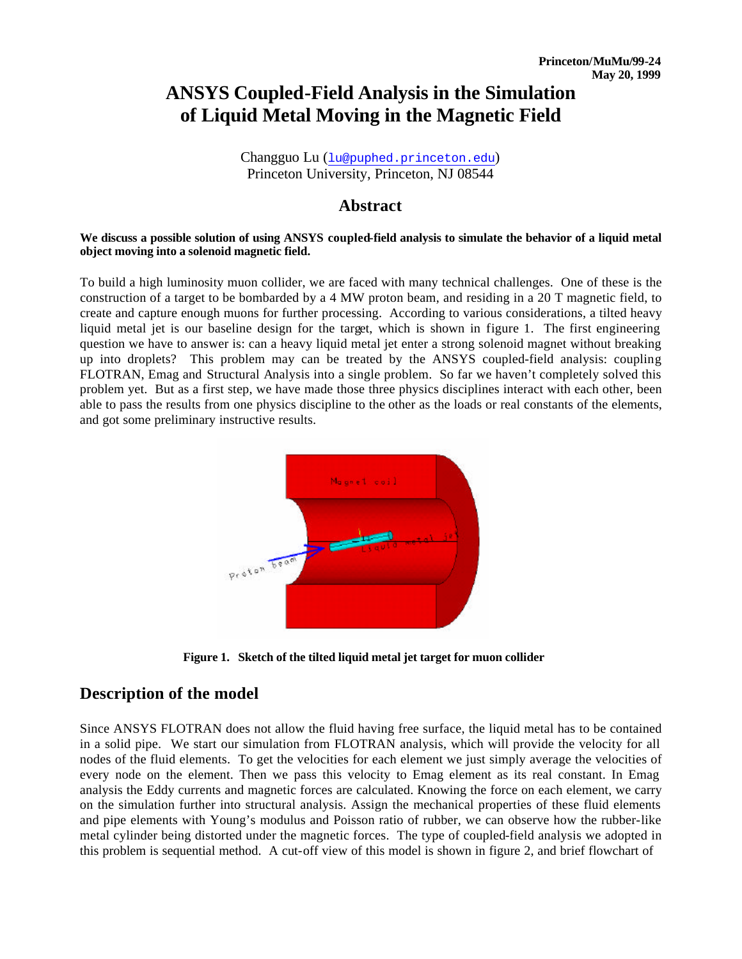# **ANSYS Coupled-Field Analysis in the Simulation of Liquid Metal Moving in the Magnetic Field**

Changguo Lu (lu@puphed.princeton.edu) Princeton University, Princeton, NJ 08544

### **Abstract**

#### **We discuss a possible solution of using ANSYS coupled-field analysis to simulate the behavior of a liquid metal object moving into a solenoid magnetic field.**

To build a high luminosity muon collider, we are faced with many technical challenges. One of these is the construction of a target to be bombarded by a 4 MW proton beam, and residing in a 20 T magnetic field, to create and capture enough muons for further processing. According to various considerations, a tilted heavy liquid metal jet is our baseline design for the target, which is shown in figure 1. The first engineering question we have to answer is: can a heavy liquid metal jet enter a strong solenoid magnet without breaking up into droplets? This problem may can be treated by the ANSYS coupled-field analysis: coupling FLOTRAN, Emag and Structural Analysis into a single problem. So far we haven't completely solved this problem yet. But as a first step, we have made those three physics disciplines interact with each other, been able to pass the results from one physics discipline to the other as the loads or real constants of the elements, and got some preliminary instructive results.



**Figure 1. Sketch of the tilted liquid metal jet target for muon collider**

### **Description of the model**

Since ANSYS FLOTRAN does not allow the fluid having free surface, the liquid metal has to be contained in a solid pipe. We start our simulation from FLOTRAN analysis, which will provide the velocity for all nodes of the fluid elements. To get the velocities for each element we just simply average the velocities of every node on the element. Then we pass this velocity to Emag element as its real constant. In Emag analysis the Eddy currents and magnetic forces are calculated. Knowing the force on each element, we carry on the simulation further into structural analysis. Assign the mechanical properties of these fluid elements and pipe elements with Young's modulus and Poisson ratio of rubber, we can observe how the rubber-like metal cylinder being distorted under the magnetic forces. The type of coupled-field analysis we adopted in this problem is sequential method. A cut-off view of this model is shown in figure 2, and brief flowchart of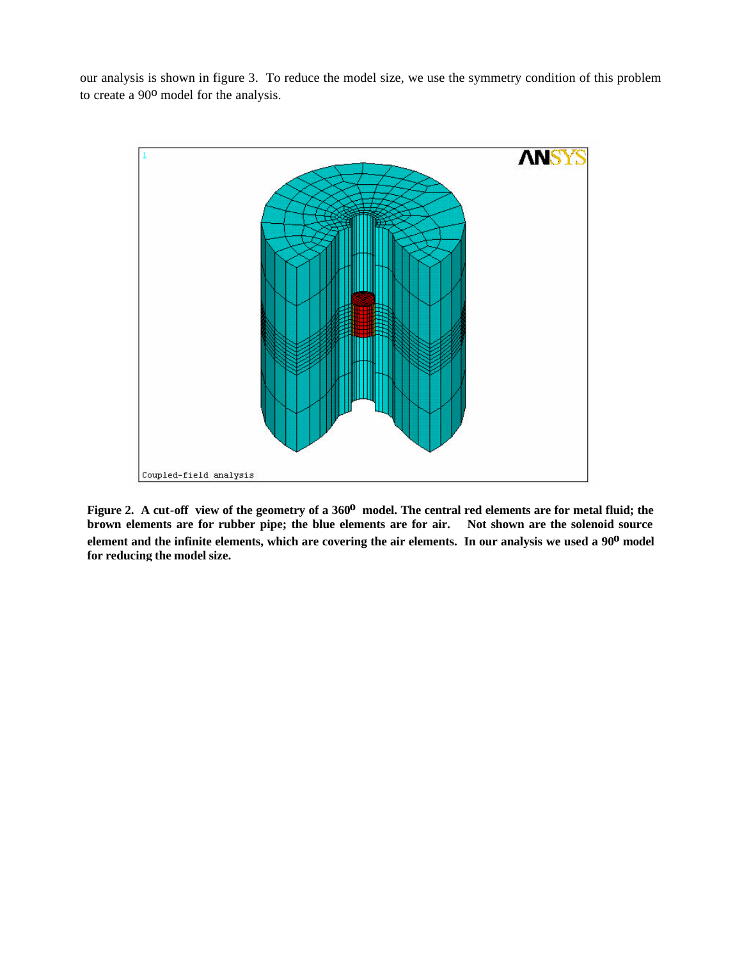our analysis is shown in figure 3. To reduce the model size, we use the symmetry condition of this problem to create a 90<sup>o</sup> model for the analysis.



Figure 2. A cut-off view of the geometry of a 360<sup>0</sup> model. The central red elements are for metal fluid; the brown elements are for rubber pipe; the blue elements are for air. Not shown are the solenoid source **element and the infinite elements, which are covering the air elements. In our analysis we used a 90o model for reducing the model size.**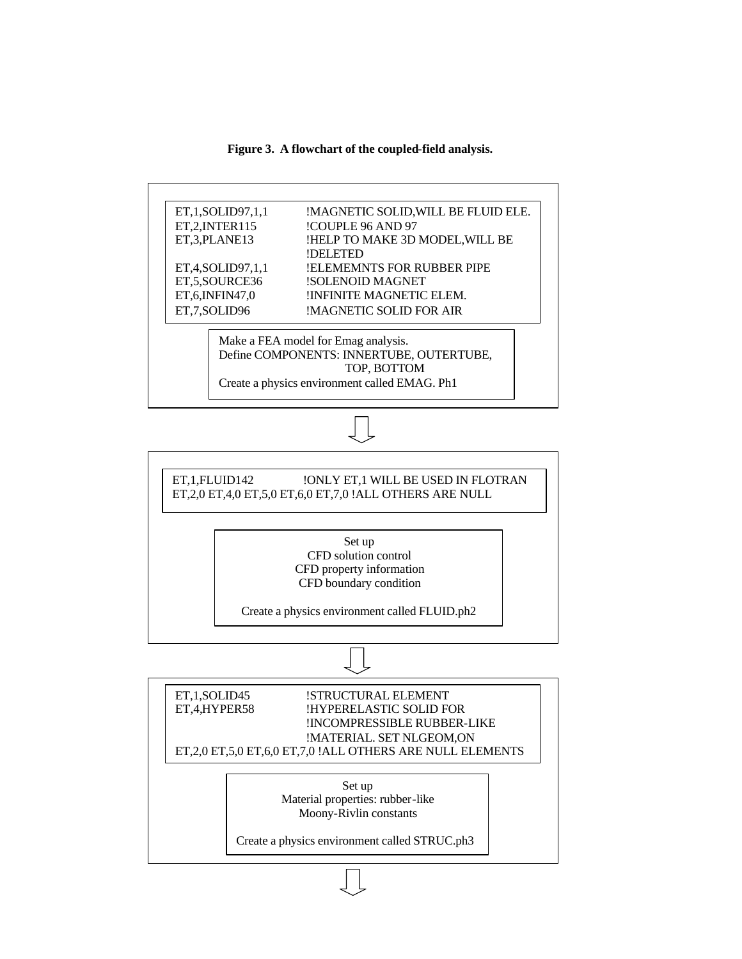**Figure 3. A flowchart of the coupled-field analysis.**

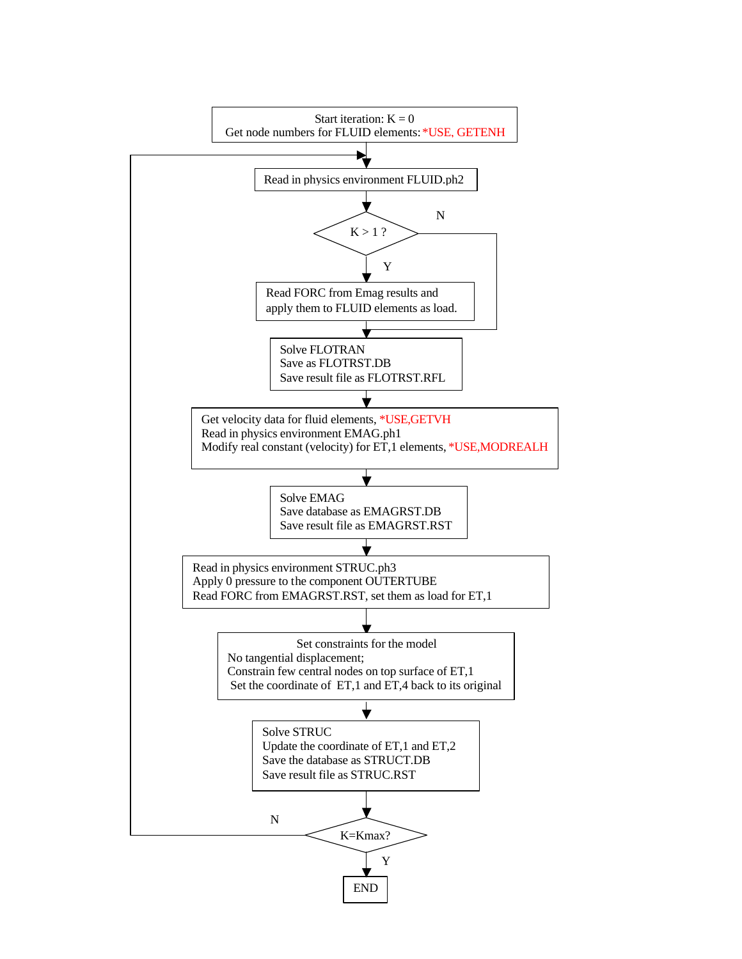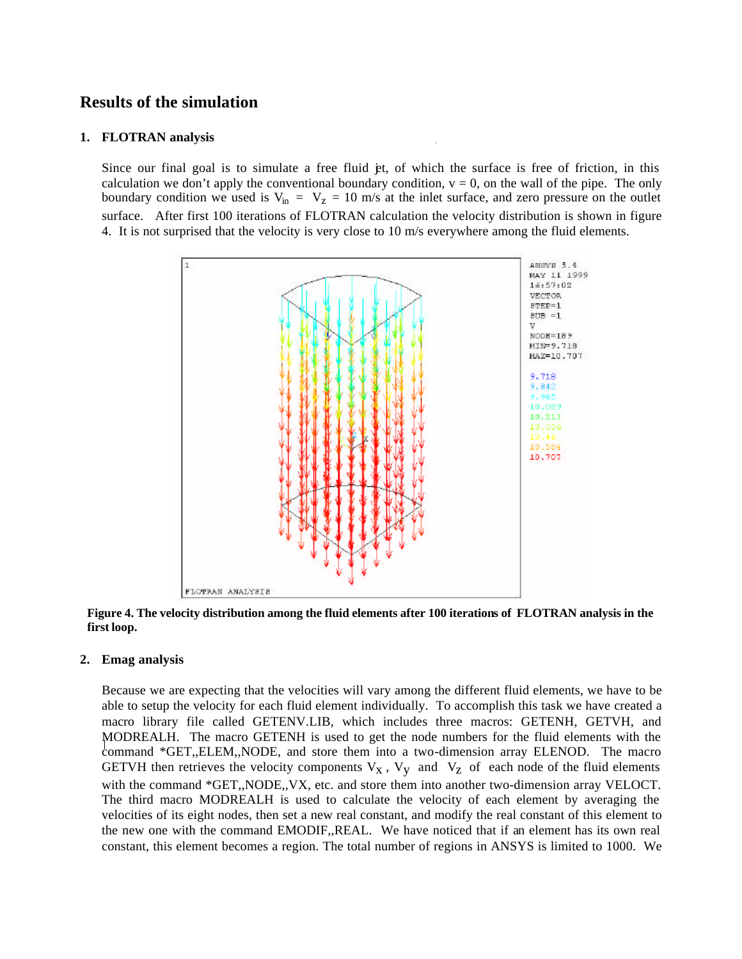# **Results of the simulation**

#### **1. FLOTRAN analysis**

Since our final goal is to simulate a free fluid et, of which the surface is free of friction, in this calculation we don't apply the conventional boundary condition,  $v = 0$ , on the wall of the pipe. The only boundary condition we used is  $V_{in} = V_z = 10$  m/s at the inlet surface, and zero pressure on the outlet surface. After first 100 iterations of FLOTRAN calculation the velocity distribution is shown in figure 4. It is not surprised that the velocity is very close to 10 m/s everywhere among the fluid elements.



**Figure 4. The velocity distribution among the fluid elements after 100 iterations of FLOTRAN analysis in the first loop.**

### **2. Emag analysis**

Because we are expecting that the velocities will vary among the different fluid elements, we have to be able to setup the velocity for each fluid element individually. To accomplish this task we have created a macro library file called GETENV.LIB, which includes three macros: GETENH, GETVH, and MODREALH. The macro GETENH is used to get the node numbers for the fluid elements with the command \*GET,,ELEM,,NODE, and store them into a two-dimension array ELENOD. The macro GETVH then retrieves the velocity components  $V_X$ ,  $V_Y$  and  $V_Z$  of each node of the fluid elements with the command \*GET,,NODE,, VX, etc. and store them into another two-dimension array VELOCT. The third macro MODREALH is used to calculate the velocity of each element by averaging the velocities of its eight nodes, then set a new real constant, and modify the real constant of this element to the new one with the command EMODIF,,REAL. We have noticed that if an element has its own real constant, this element becomes a region. The total number of regions in ANSYS is limited to 1000. We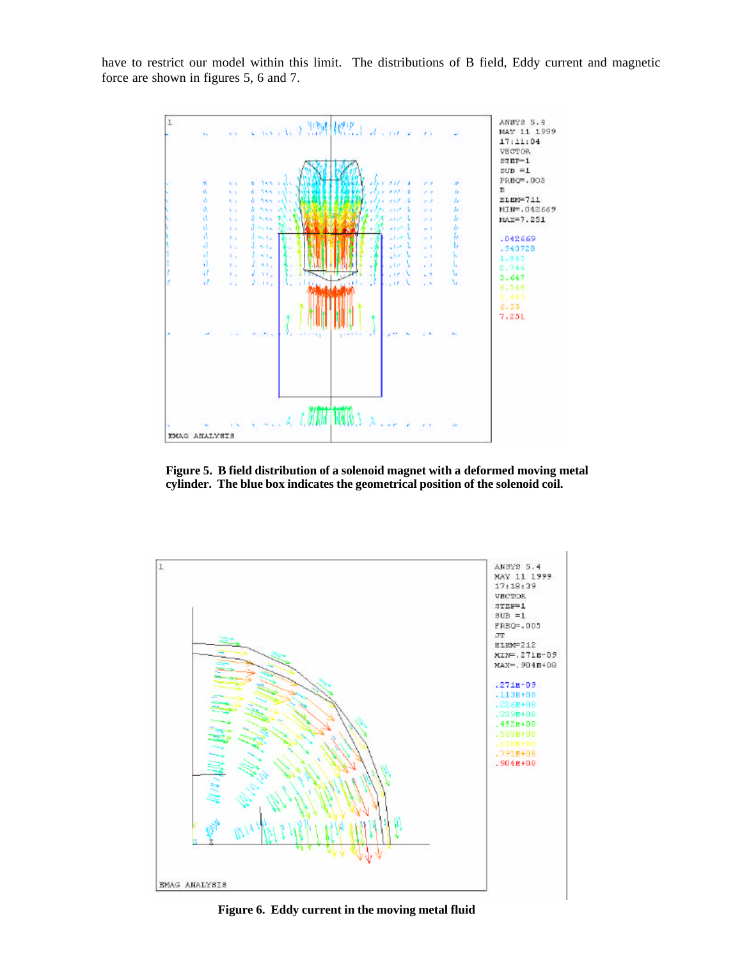have to restrict our model within this limit. The distributions of B field, Eddy current and magnetic force are shown in figures 5, 6 and 7.



**Figure 5. B field distribution of a solenoid magnet with a deformed moving metal cylinder. The blue box indicates the geometrical position of the solenoid coil.**



**Figure 6. Eddy current in the moving metal fluid**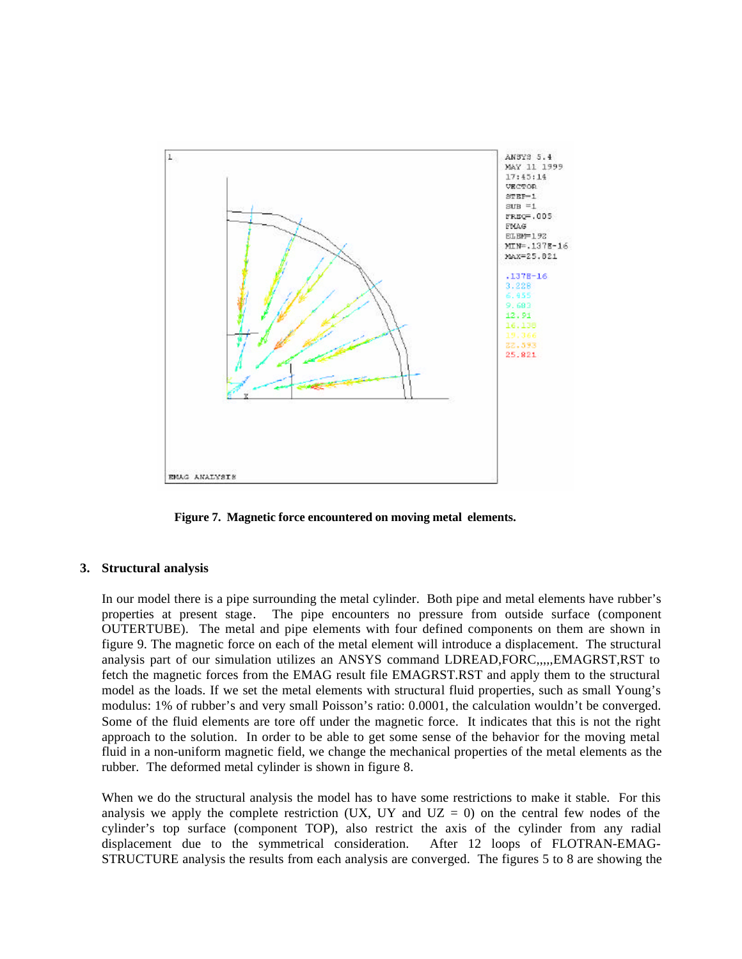

**Figure 7. Magnetic force encountered on moving metal elements.**

#### **3. Structural analysis**

In our model there is a pipe surrounding the metal cylinder. Both pipe and metal elements have rubber's properties at present stage. The pipe encounters no pressure from outside surface (component OUTERTUBE). The metal and pipe elements with four defined components on them are shown in figure 9. The magnetic force on each of the metal element will introduce a displacement. The structural analysis part of our simulation utilizes an ANSYS command LDREAD,FORC,,,,,EMAGRST,RST to fetch the magnetic forces from the EMAG result file EMAGRST.RST and apply them to the structural model as the loads. If we set the metal elements with structural fluid properties, such as small Young's modulus: 1% of rubber's and very small Poisson's ratio: 0.0001, the calculation wouldn't be converged. Some of the fluid elements are tore off under the magnetic force. It indicates that this is not the right approach to the solution. In order to be able to get some sense of the behavior for the moving metal fluid in a non-uniform magnetic field, we change the mechanical properties of the metal elements as the rubber. The deformed metal cylinder is shown in figure 8.

When we do the structural analysis the model has to have some restrictions to make it stable. For this analysis we apply the complete restriction (UX, UY and  $UZ = 0$ ) on the central few nodes of the cylinder's top surface (component TOP), also restrict the axis of the cylinder from any radial displacement due to the symmetrical consideration. After 12 loops of FLOTRAN-EMAG-STRUCTURE analysis the results from each analysis are converged. The figures 5 to 8 are showing the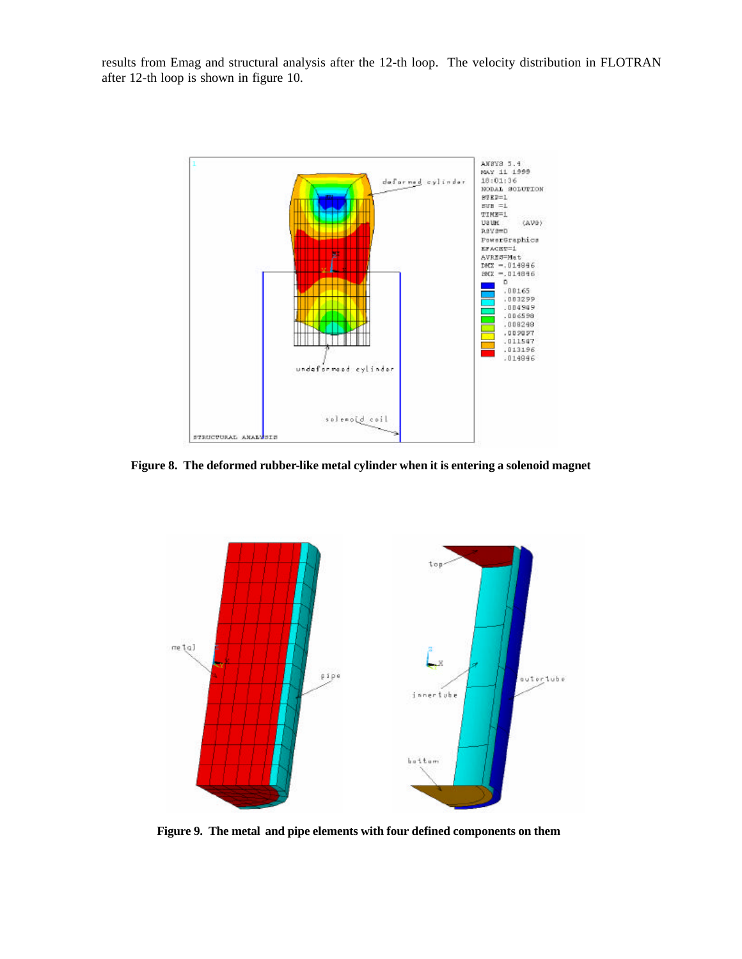results from Emag and structural analysis after the 12-th loop. The velocity distribution in FLOTRAN after 12-th loop is shown in figure 10.



**Figure 8. The deformed rubber-like metal cylinder when it is entering a solenoid magnet**



**Figure 9. The metal and pipe elements with four defined components on them**